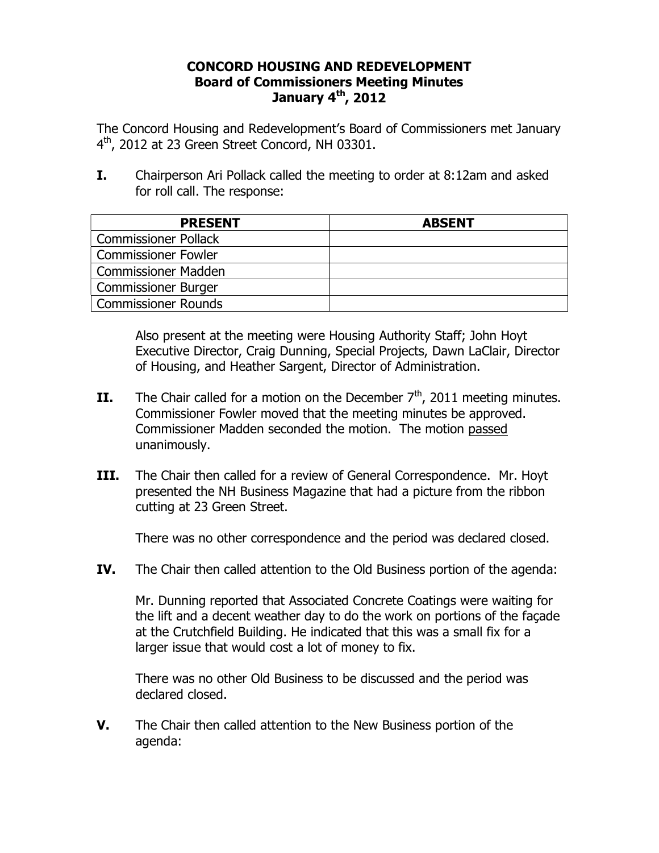## **CONCORD HOUSING AND REDEVELOPMENT Board of Commissioners Meeting Minutes January 4th, 2012**

The Concord Housing and Redevelopment's Board of Commissioners met January  $4<sup>th</sup>$ , 2012 at 23 Green Street Concord, NH 03301.

**I.** Chairperson Ari Pollack called the meeting to order at 8:12am and asked for roll call. The response:

| <b>PRESENT</b>              | <b>ABSENT</b> |
|-----------------------------|---------------|
| <b>Commissioner Pollack</b> |               |
| <b>Commissioner Fowler</b>  |               |
| <b>Commissioner Madden</b>  |               |
| <b>Commissioner Burger</b>  |               |
| Commissioner Rounds         |               |

Also present at the meeting were Housing Authority Staff; John Hoyt Executive Director, Craig Dunning, Special Projects, Dawn LaClair, Director of Housing, and Heather Sargent, Director of Administration.

- **II.** The Chair called for a motion on the December  $7<sup>th</sup>$ , 2011 meeting minutes. Commissioner Fowler moved that the meeting minutes be approved. Commissioner Madden seconded the motion. The motion passed unanimously.
- **III.** The Chair then called for a review of General Correspondence. Mr. Hoyt presented the NH Business Magazine that had a picture from the ribbon cutting at 23 Green Street.

There was no other correspondence and the period was declared closed.

**IV.** The Chair then called attention to the Old Business portion of the agenda:

Mr. Dunning reported that Associated Concrete Coatings were waiting for the lift and a decent weather day to do the work on portions of the façade at the Crutchfield Building. He indicated that this was a small fix for a larger issue that would cost a lot of money to fix.

There was no other Old Business to be discussed and the period was declared closed.

**V.** The Chair then called attention to the New Business portion of the agenda: